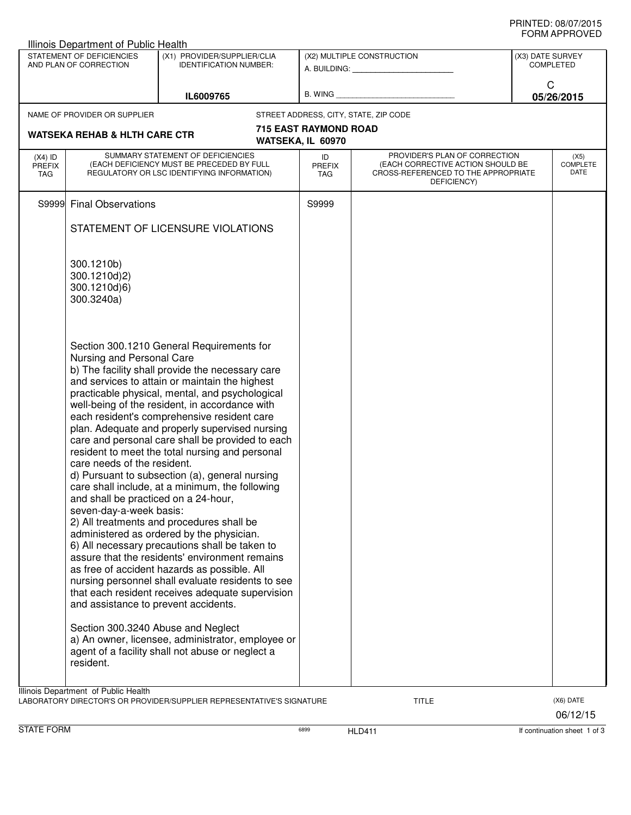| $(X4)$ ID<br><b>PREFIX</b><br><b>TAG</b> | AND PLAN OF CORRECTION<br>NAME OF PROVIDER OR SUPPLIER<br><b>WATSEKA REHAB &amp; HLTH CARE CTR</b>                                                                               | <b>IDENTIFICATION NUMBER:</b><br>IL6009765<br>WATSEKA, IL 60970                                                                                                                                                                                                                                                                                                                                                                                                                                                                                                                                                                                                                                                                                                                                                                                                                                                                                                                                        | <b>715 EAST RAYMOND ROAD</b> | STREET ADDRESS, CITY, STATE, ZIP CODE                                                   | C | <b>COMPLETED</b><br>05/26/2015 |
|------------------------------------------|----------------------------------------------------------------------------------------------------------------------------------------------------------------------------------|--------------------------------------------------------------------------------------------------------------------------------------------------------------------------------------------------------------------------------------------------------------------------------------------------------------------------------------------------------------------------------------------------------------------------------------------------------------------------------------------------------------------------------------------------------------------------------------------------------------------------------------------------------------------------------------------------------------------------------------------------------------------------------------------------------------------------------------------------------------------------------------------------------------------------------------------------------------------------------------------------------|------------------------------|-----------------------------------------------------------------------------------------|---|--------------------------------|
|                                          |                                                                                                                                                                                  |                                                                                                                                                                                                                                                                                                                                                                                                                                                                                                                                                                                                                                                                                                                                                                                                                                                                                                                                                                                                        |                              |                                                                                         |   |                                |
|                                          |                                                                                                                                                                                  |                                                                                                                                                                                                                                                                                                                                                                                                                                                                                                                                                                                                                                                                                                                                                                                                                                                                                                                                                                                                        |                              |                                                                                         |   |                                |
|                                          |                                                                                                                                                                                  |                                                                                                                                                                                                                                                                                                                                                                                                                                                                                                                                                                                                                                                                                                                                                                                                                                                                                                                                                                                                        |                              |                                                                                         |   |                                |
|                                          |                                                                                                                                                                                  |                                                                                                                                                                                                                                                                                                                                                                                                                                                                                                                                                                                                                                                                                                                                                                                                                                                                                                                                                                                                        |                              |                                                                                         |   |                                |
|                                          |                                                                                                                                                                                  | SUMMARY STATEMENT OF DEFICIENCIES                                                                                                                                                                                                                                                                                                                                                                                                                                                                                                                                                                                                                                                                                                                                                                                                                                                                                                                                                                      | ID                           | PROVIDER'S PLAN OF CORRECTION                                                           |   | (X5)                           |
|                                          |                                                                                                                                                                                  | (EACH DEFICIENCY MUST BE PRECEDED BY FULL<br>REGULATORY OR LSC IDENTIFYING INFORMATION)                                                                                                                                                                                                                                                                                                                                                                                                                                                                                                                                                                                                                                                                                                                                                                                                                                                                                                                | <b>PREFIX</b><br>TAG         | (EACH CORRECTIVE ACTION SHOULD BE<br>CROSS-REFERENCED TO THE APPROPRIATE<br>DEFICIENCY) |   | <b>COMPLETE</b><br><b>DATE</b> |
|                                          | S9999 Final Observations                                                                                                                                                         |                                                                                                                                                                                                                                                                                                                                                                                                                                                                                                                                                                                                                                                                                                                                                                                                                                                                                                                                                                                                        | S9999                        |                                                                                         |   |                                |
|                                          |                                                                                                                                                                                  | STATEMENT OF LICENSURE VIOLATIONS                                                                                                                                                                                                                                                                                                                                                                                                                                                                                                                                                                                                                                                                                                                                                                                                                                                                                                                                                                      |                              |                                                                                         |   |                                |
|                                          | 300.1210b)<br>300.1210d)2)<br>300.1210d)6)<br>300.3240a)                                                                                                                         |                                                                                                                                                                                                                                                                                                                                                                                                                                                                                                                                                                                                                                                                                                                                                                                                                                                                                                                                                                                                        |                              |                                                                                         |   |                                |
|                                          | Nursing and Personal Care<br>care needs of the resident.<br>and shall be practiced on a 24-hour,<br>seven-day-a-week basis:<br>a) An owner, licensee, administrator, employee or | Section 300.1210 General Requirements for<br>b) The facility shall provide the necessary care<br>and services to attain or maintain the highest<br>practicable physical, mental, and psychological<br>well-being of the resident, in accordance with<br>each resident's comprehensive resident care<br>plan. Adequate and properly supervised nursing<br>care and personal care shall be provided to each<br>resident to meet the total nursing and personal<br>d) Pursuant to subsection (a), general nursing<br>care shall include, at a minimum, the following<br>2) All treatments and procedures shall be<br>administered as ordered by the physician.<br>6) All necessary precautions shall be taken to<br>assure that the residents' environment remains<br>as free of accident hazards as possible. All<br>nursing personnel shall evaluate residents to see<br>that each resident receives adequate supervision<br>and assistance to prevent accidents.<br>Section 300.3240 Abuse and Neglect |                              |                                                                                         |   |                                |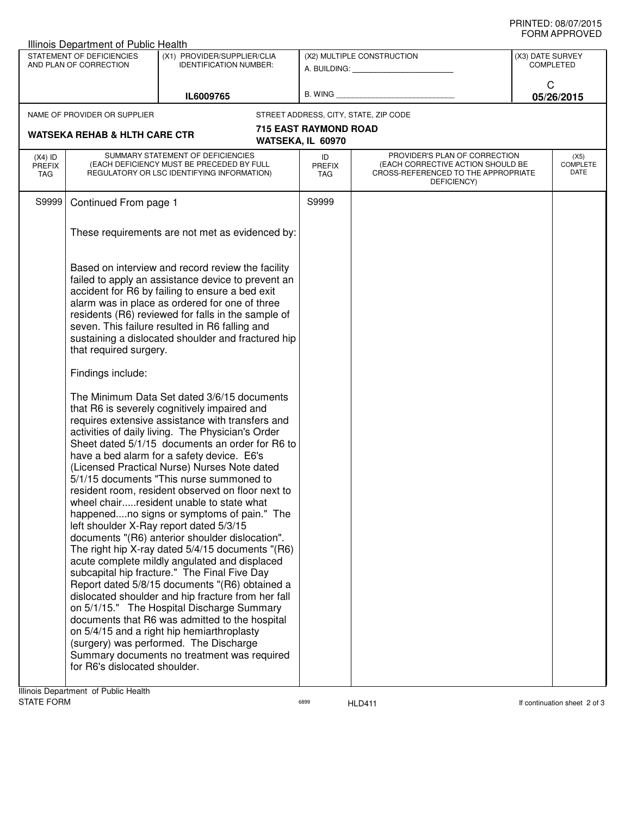| Illinois Department of Public Health                |                                                                                                                              |                                                                                                                                                                                                                                                                                                                                                                                                                                                                                                                                                                                                                                                                                                                                                                                                                                                                                                                                                                                                                                                                                                                                                    |                            |                                                                                                                          |                                      |                                 |  |
|-----------------------------------------------------|------------------------------------------------------------------------------------------------------------------------------|----------------------------------------------------------------------------------------------------------------------------------------------------------------------------------------------------------------------------------------------------------------------------------------------------------------------------------------------------------------------------------------------------------------------------------------------------------------------------------------------------------------------------------------------------------------------------------------------------------------------------------------------------------------------------------------------------------------------------------------------------------------------------------------------------------------------------------------------------------------------------------------------------------------------------------------------------------------------------------------------------------------------------------------------------------------------------------------------------------------------------------------------------|----------------------------|--------------------------------------------------------------------------------------------------------------------------|--------------------------------------|---------------------------------|--|
| STATEMENT OF DEFICIENCIES<br>AND PLAN OF CORRECTION |                                                                                                                              | (X1) PROVIDER/SUPPLIER/CLIA<br><b>IDENTIFICATION NUMBER:</b>                                                                                                                                                                                                                                                                                                                                                                                                                                                                                                                                                                                                                                                                                                                                                                                                                                                                                                                                                                                                                                                                                       |                            | (X2) MULTIPLE CONSTRUCTION                                                                                               | (X3) DATE SURVEY<br><b>COMPLETED</b> |                                 |  |
|                                                     |                                                                                                                              | IL6009765                                                                                                                                                                                                                                                                                                                                                                                                                                                                                                                                                                                                                                                                                                                                                                                                                                                                                                                                                                                                                                                                                                                                          |                            | B. WING <b>Example 2008</b>                                                                                              | C                                    | 05/26/2015                      |  |
|                                                     | NAME OF PROVIDER OR SUPPLIER                                                                                                 |                                                                                                                                                                                                                                                                                                                                                                                                                                                                                                                                                                                                                                                                                                                                                                                                                                                                                                                                                                                                                                                                                                                                                    |                            | STREET ADDRESS, CITY, STATE, ZIP CODE                                                                                    |                                      |                                 |  |
|                                                     | <b>715 EAST RAYMOND ROAD</b><br><b>WATSEKA REHAB &amp; HLTH CARE CTR</b><br>WATSEKA, IL 60970                                |                                                                                                                                                                                                                                                                                                                                                                                                                                                                                                                                                                                                                                                                                                                                                                                                                                                                                                                                                                                                                                                                                                                                                    |                            |                                                                                                                          |                                      |                                 |  |
| $(X4)$ ID<br><b>PREFIX</b><br>TAG                   | SUMMARY STATEMENT OF DEFICIENCIES<br>(EACH DEFICIENCY MUST BE PRECEDED BY FULL<br>REGULATORY OR LSC IDENTIFYING INFORMATION) |                                                                                                                                                                                                                                                                                                                                                                                                                                                                                                                                                                                                                                                                                                                                                                                                                                                                                                                                                                                                                                                                                                                                                    | ID<br><b>PREFIX</b><br>TAG | PROVIDER'S PLAN OF CORRECTION<br>(EACH CORRECTIVE ACTION SHOULD BE<br>CROSS-REFERENCED TO THE APPROPRIATE<br>DEFICIENCY) |                                      | (X5)<br><b>COMPLETE</b><br>DATE |  |
| S9999                                               | Continued From page 1                                                                                                        |                                                                                                                                                                                                                                                                                                                                                                                                                                                                                                                                                                                                                                                                                                                                                                                                                                                                                                                                                                                                                                                                                                                                                    | S9999                      |                                                                                                                          |                                      |                                 |  |
|                                                     |                                                                                                                              | These requirements are not met as evidenced by:                                                                                                                                                                                                                                                                                                                                                                                                                                                                                                                                                                                                                                                                                                                                                                                                                                                                                                                                                                                                                                                                                                    |                            |                                                                                                                          |                                      |                                 |  |
|                                                     | that required surgery.                                                                                                       | Based on interview and record review the facility<br>failed to apply an assistance device to prevent an<br>accident for R6 by failing to ensure a bed exit<br>alarm was in place as ordered for one of three<br>residents (R6) reviewed for falls in the sample of<br>seven. This failure resulted in R6 falling and<br>sustaining a dislocated shoulder and fractured hip                                                                                                                                                                                                                                                                                                                                                                                                                                                                                                                                                                                                                                                                                                                                                                         |                            |                                                                                                                          |                                      |                                 |  |
|                                                     | Findings include:                                                                                                            |                                                                                                                                                                                                                                                                                                                                                                                                                                                                                                                                                                                                                                                                                                                                                                                                                                                                                                                                                                                                                                                                                                                                                    |                            |                                                                                                                          |                                      |                                 |  |
|                                                     | for R6's dislocated shoulder.                                                                                                | The Minimum Data Set dated 3/6/15 documents<br>that R6 is severely cognitively impaired and<br>requires extensive assistance with transfers and<br>activities of daily living. The Physician's Order<br>Sheet dated 5/1/15 documents an order for R6 to<br>have a bed alarm for a safety device. E6's<br>(Licensed Practical Nurse) Nurses Note dated<br>5/1/15 documents "This nurse summoned to<br>resident room, resident observed on floor next to<br>wheel chairresident unable to state what<br>happenedno signs or symptoms of pain." The<br>left shoulder X-Ray report dated 5/3/15<br>documents "(R6) anterior shoulder dislocation".<br>The right hip X-ray dated 5/4/15 documents "(R6)<br>acute complete mildly angulated and displaced<br>subcapital hip fracture." The Final Five Day<br>Report dated 5/8/15 documents "(R6) obtained a<br>dislocated shoulder and hip fracture from her fall<br>on 5/1/15." The Hospital Discharge Summary<br>documents that R6 was admitted to the hospital<br>on 5/4/15 and a right hip hemiarthroplasty<br>(surgery) was performed. The Discharge<br>Summary documents no treatment was required |                            |                                                                                                                          |                                      |                                 |  |

assets of the HLD411 in the state of the state of the HLD411 in the state of the state of the state of the state of the state of the state of the state of the state of the state of the state of the state of the state of th